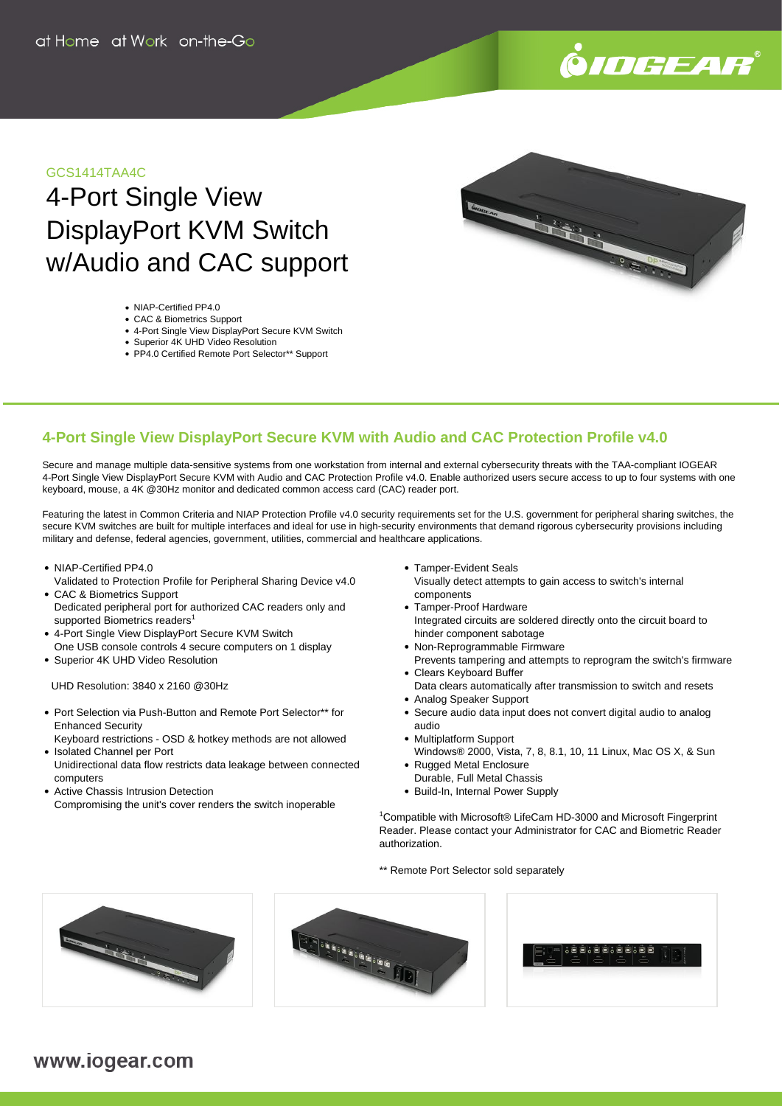

# GCS1414TAA4C

# 4-Port Single View DisplayPort KVM Switch w/Audio and CAC support



- NIAP-Certified PP4.0
- CAC & Biometrics Support
- 4-Port Single View DisplayPort Secure KVM Switch
- Superior 4K UHD Video Resolution PP4.0 Certified Remote Port Selector\*\* Support

# **4-Port Single View DisplayPort Secure KVM with Audio and CAC Protection Profile v4.0**

Secure and manage multiple data-sensitive systems from one workstation from internal and external cybersecurity threats with the TAA-compliant IOGEAR 4-Port Single View DisplayPort Secure KVM with Audio and CAC Protection Profile v4.0. Enable authorized users secure access to up to four systems with one keyboard, mouse, a 4K @30Hz monitor and dedicated common access card (CAC) reader port.

Featuring the latest in Common Criteria and NIAP Protection Profile v4.0 security requirements set for the U.S. government for peripheral sharing switches, the secure KVM switches are built for multiple interfaces and ideal for use in high-security environments that demand rigorous cybersecurity provisions including military and defense, federal agencies, government, utilities, commercial and healthcare applications.

- NIAP-Certified PP4.0
- Validated to Protection Profile for Peripheral Sharing Device v4.0 CAC & Biometrics Support
- Dedicated peripheral port for authorized CAC readers only and supported Biometrics readers<sup>1</sup>
- 4-Port Single View DisplayPort Secure KVM Switch
- One USB console controls 4 secure computers on 1 display Superior 4K UHD Video Resolution

UHD Resolution: 3840 x 2160 @30Hz

- Port Selection via Push-Button and Remote Port Selector\*\* for Enhanced Security
- Keyboard restrictions OSD & hotkey methods are not allowed • Isolated Channel per Port
- Unidirectional data flow restricts data leakage between connected computers
- Active Chassis Intrusion Detection Compromising the unit's cover renders the switch inoperable
- Tamper-Evident Seals
- Visually detect attempts to gain access to switch's internal components
- Tamper-Proof Hardware Integrated circuits are soldered directly onto the circuit board to hinder component sabotage
- Non-Reprogrammable Firmware Prevents tampering and attempts to reprogram the switch's firmware
- Clears Keyboard Buffer
	- Data clears automatically after transmission to switch and resets
- Analog Speaker Support
- Secure audio data input does not convert digital audio to analog audio
- Multiplatform Support
- Windows® 2000, Vista, 7, 8, 8.1, 10, 11 Linux, Mac OS X, & Sun • Rugged Metal Enclosure
- Durable, Full Metal Chassis
- Build-In, Internal Power Supply

<sup>1</sup>Compatible with Microsoft® LifeCam HD-3000 and Microsoft Fingerprint Reader. Please contact your Administrator for CAC and Biometric Reader authorization.

\*\* Remote Port Selector sold separately



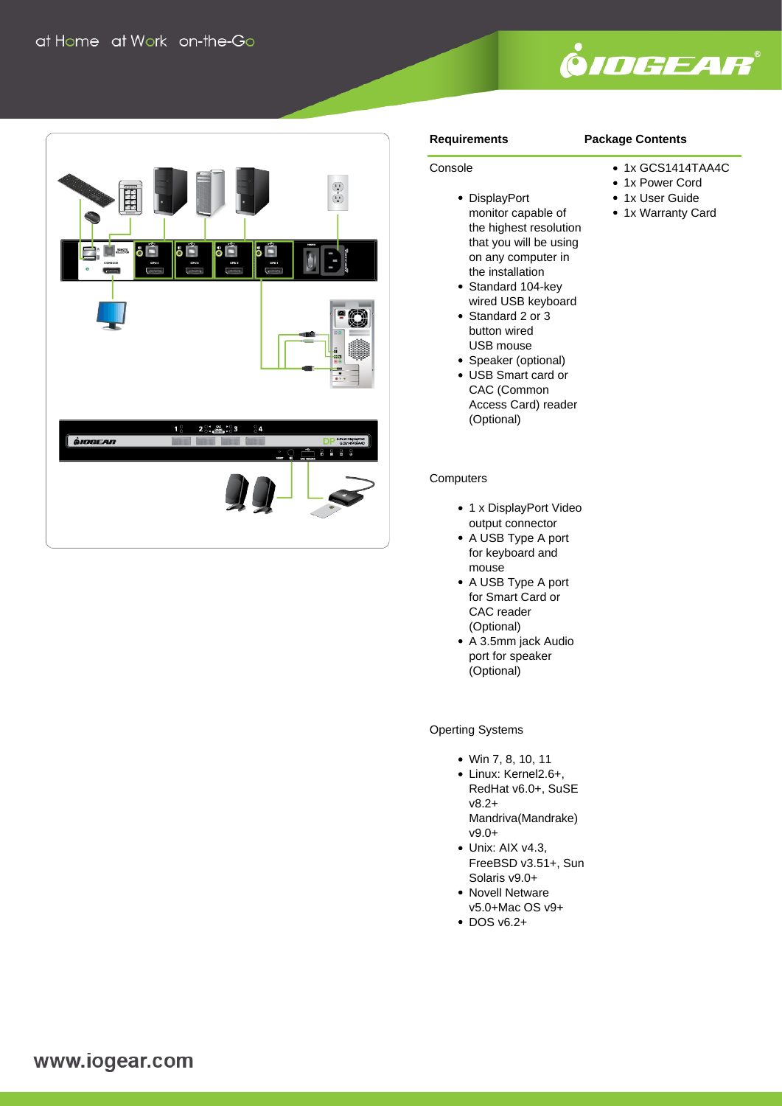



### **Requirements**

Console

# **Package Contents**

- 1x GCS1414TAA4C
- 1x Power Cord
- 1x User Guide
- 1x Warranty Card
- DisplayPort monitor capable of the highest resolution that you will be using on any computer in the installation
- Standard 104-key wired USB keyboard
- Standard 2 or 3 button wired USB mouse
- Speaker (optional)
- USB Smart card or CAC (Common Access Card) reader (Optional)

#### **Computers**

- 1 x DisplayPort Video output connector
- A USB Type A port for keyboard and mouse
- A USB Type A port for Smart Card or CAC reader (Optional)
- A 3.5mm jack Audio port for speaker (Optional)

Operting Systems

- Win 7, 8, 10, 11
- Linux: Kernel2.6+, RedHat v6.0+, SuSE v8.2+ Mandriva(Mandrake) v9.0+
- Unix: AIX v4.3. FreeBSD v3.51+, Sun Solaris v9.0+
- Novell Netware v5.0+Mac OS v9+
- $\cdot$  DOS v6.2+